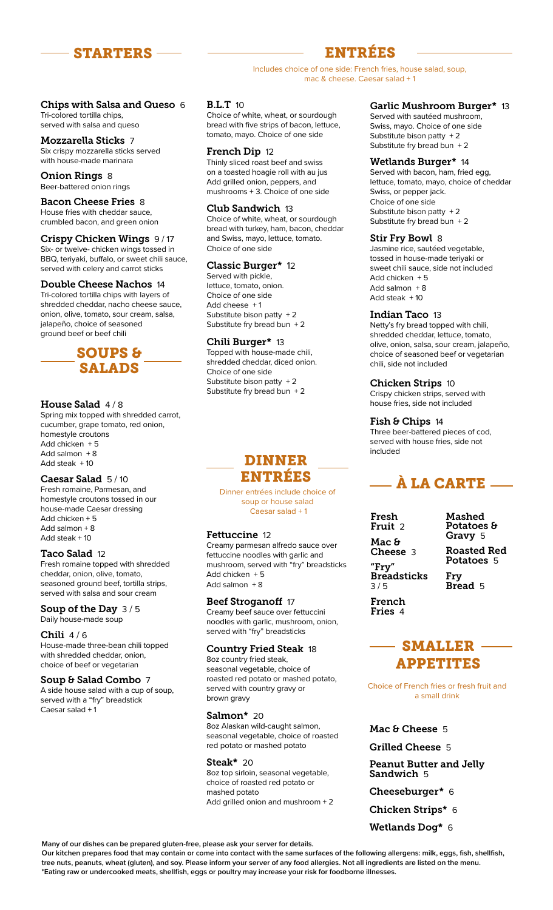

# ENTRÉES

Includes choice of one side: French fries, house salad, soup, mac & cheese. Caesar salad + 1

#### Chips with Salsa and Queso 6 Tri-colored tortilla chips,

served with salsa and queso

Mozzarella Sticks 7 Six crispy mozzarella sticks served with house-made marinara

Onion Rings 8 Beer-battered onion rings

### Bacon Cheese Fries 8

House fries with cheddar sauce, crumbled bacon, and green onion

### Crispy Chicken Wings 9 / 17

Six- or twelve- chicken wings tossed in BBQ, teriyaki, buffalo, or sweet chili sauce, served with celery and carrot sticks

#### Double Cheese Nachos 14

Tri-colored tortilla chips with layers of shredded cheddar, nacho cheese sauce, onion, olive, tomato, sour cream, salsa, jalapeño, choice of seasoned ground beef or beef chili



#### House Salad  $4/8$

Spring mix topped with shredded carrot, cucumber, grape tomato, red onion, homestyle croutons Add chicken  $+5$ Add salmon  $+8$ Add steak + 10

#### Caesar Salad 5 / 10

Fresh romaine, Parmesan, and homestyle croutons tossed in our house-made Caesar dressing Add chicken + 5 Add salmon + 8 Add steak + 10

#### Taco Salad 12

Fresh romaine topped with shredded cheddar, onion, olive, tomato, seasoned ground beef, tortilla strips, served with salsa and sour cream

Soup of the Day 3/5 Daily house-made soup

#### Chili 4/6

House-made three-bean chili topped with shredded cheddar, onion, choice of beef or vegetarian

#### Soup & Salad Combo 7

A side house salad with a cup of soup, served with a "fry" breadstick Caesar salad + 1

#### B.L.T 10

Choice of white, wheat, or sourdough bread with five strips of bacon, lettuce, tomato, mayo. Choice of one side

#### French Dip 12

Thinly sliced roast beef and swiss on a toasted hoagie roll with au jus Add grilled onion, peppers, and mushrooms + 3. Choice of one side

#### Club Sandwich 13

Choice of white, wheat, or sourdough bread with turkey, ham, bacon, cheddar and Swiss, mayo, lettuce, tomato. Choice of one side

#### Classic Burger\* 12

Served with pickle, lettuce, tomato, onion. Choice of one side Add cheese + 1 Substitute bison patty + 2 Substitute fry bread bun + 2

#### Chili Burger\* 13

Topped with house-made chili, shredded cheddar, diced onion. Choice of one side Substitute bison patty + 2 Substitute fry bread bun + 2

## DINNER ENTRÉES

Dinner entrées include choice of soup or house salad Caesar salad + 1

#### Fettuccine 12

Creamy parmesan alfredo sauce over fettuccine noodles with garlic and mushroom, served with "fry" breadsticks Add chicken + 5 Add salmon  $+8$ 

#### Beef Stroganoff 17

Creamy beef sauce over fettuccini noodles with garlic, mushroom, onion, served with "fry" breadsticks

#### Country Fried Steak 18

8oz country fried steak, seasonal vegetable, choice of roasted red potato or mashed potato, served with country gravy or brown gravy

#### Salmon\* 20

8oz Alaskan wild-caught salmon, seasonal vegetable, choice of roasted red potato or mashed potato

#### Steak\* 20

8oz top sirloin, seasonal vegetable, choice of roasted red potato or mashed potato Add grilled onion and mushroom + 2

#### Garlic Mushroom Burger\* 13

Served with sautéed mushroom, Swiss, mayo. Choice of one side Substitute bison patty  $+2$ Substitute fry bread bun  $+2$ 

#### Wetlands Burger\* 14

Served with bacon, ham, fried egg, lettuce, tomato, mayo, choice of cheddar Swiss, or pepper jack. Choice of one side Substitute bison patty + 2 Substitute fry bread bun  $+2$ 

#### Stir Fry Bowl 8

Jasmine rice, sautéed vegetable, tossed in house-made teriyaki or sweet chili sauce, side not included Add chicken + 5 Add salmon  $+8$ Add steak  $+10$ 

#### Indian Taco 13

Netty's fry bread topped with chili, shredded cheddar, lettuce, tomato, olive, onion, salsa, sour cream, jalapeño, choice of seasoned beef or vegetarian chili, side not included

#### Chicken Strips 10

Crispy chicken strips, served with house fries, side not included

#### Fish & Chips 14

Three beer-battered pieces of cod, served with house fries, side not included

# À LA CARTE

| Fresh<br><b>Fruit 2</b>                |
|----------------------------------------|
| Mac &<br><b>Cheese</b> 3               |
| "Fry"<br>Breadsticks<br>3/5            |
| French<br>$T_{\text{vison}}$ $\lambda$ |

Mashed Potatoes & Gravy 5 Roasted Red Potatoes 5

Fry Bread 5

French Fries 4

## $-$  SMALLER  $-$ APPETITES

Choice of French fries or fresh fruit and a small drink

### Mac & Cheese 5

Grilled Cheese 5

Peanut Butter and Jelly Sandwich 5

Cheeseburger\* 6

Chicken Strips\* 6

Wetlands Dog\* 6

**Many of our dishes can be prepared gluten-free, please ask your server for details.**

**Our kitchen prepares food that may contain or come into contact with the same surfaces of the following allergens: milk, eggs, fish, shellfish, tree nuts, peanuts, wheat (gluten), and soy. Please inform your server of any food allergies. Not all ingredients are listed on the menu. \*Eating raw or undercooked meats, shellfish, eggs or poultry may increase your risk for foodborne illnesses.**